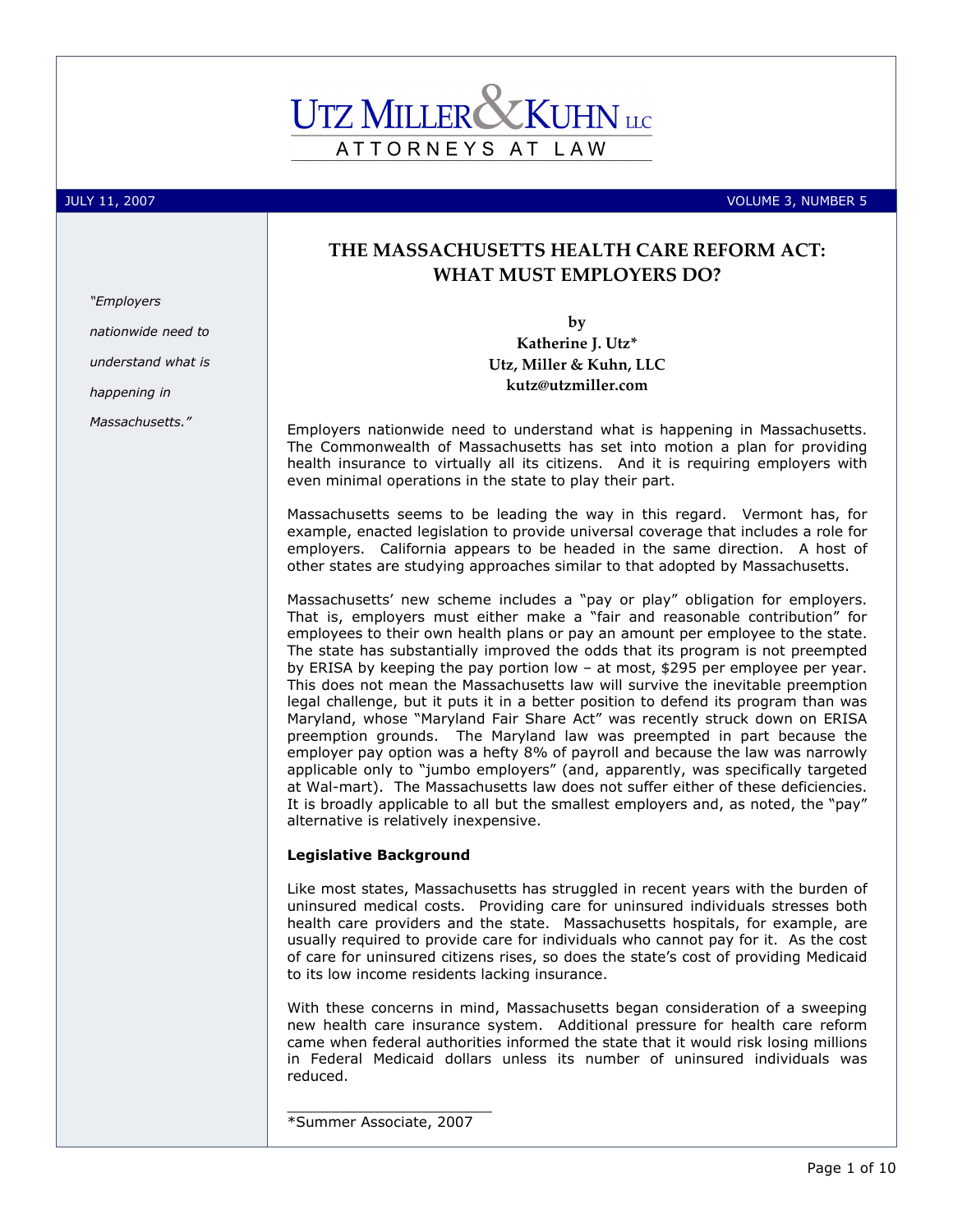# ATTORNEYS AT LAW

"Employers

happening in

Massachusetts."

nationwide need to understand what is

JULY 11, 2007 VOLUME 3, NUMBER 5

## THE MASSACHUSETTS HEALTH CARE REFORM ACT: WHAT MUST EMPLOYERS DO?

by

Katherine J. Utz\* Utz, Miller & Kuhn, LLC kutz@utzmiller.com

Employers nationwide need to understand what is happening in Massachusetts. The Commonwealth of Massachusetts has set into motion a plan for providing health insurance to virtually all its citizens. And it is requiring employers with even minimal operations in the state to play their part.

Massachusetts seems to be leading the way in this regard. Vermont has, for example, enacted legislation to provide universal coverage that includes a role for employers. California appears to be headed in the same direction. A host of other states are studying approaches similar to that adopted by Massachusetts.

Massachusetts' new scheme includes a "pay or play" obligation for employers. That is, employers must either make a "fair and reasonable contribution" for employees to their own health plans or pay an amount per employee to the state. The state has substantially improved the odds that its program is not preempted by ERISA by keeping the pay portion low – at most, \$295 per employee per year. This does not mean the Massachusetts law will survive the inevitable preemption legal challenge, but it puts it in a better position to defend its program than was Maryland, whose "Maryland Fair Share Act" was recently struck down on ERISA preemption grounds. The Maryland law was preempted in part because the employer pay option was a hefty 8% of payroll and because the law was narrowly applicable only to "jumbo employers" (and, apparently, was specifically targeted at Wal-mart). The Massachusetts law does not suffer either of these deficiencies. It is broadly applicable to all but the smallest employers and, as noted, the "pay" alternative is relatively inexpensive.

#### Legislative Background

Like most states, Massachusetts has struggled in recent years with the burden of uninsured medical costs. Providing care for uninsured individuals stresses both health care providers and the state. Massachusetts hospitals, for example, are usually required to provide care for individuals who cannot pay for it. As the cost of care for uninsured citizens rises, so does the state's cost of providing Medicaid to its low income residents lacking insurance.

With these concerns in mind, Massachusetts began consideration of a sweeping new health care insurance system. Additional pressure for health care reform came when federal authorities informed the state that it would risk losing millions in Federal Medicaid dollars unless its number of uninsured individuals was reduced.

\_\_\_\_\_\_\_\_\_\_\_\_\_\_\_\_\_\_\_\_\_\_\_ \*Summer Associate, 2007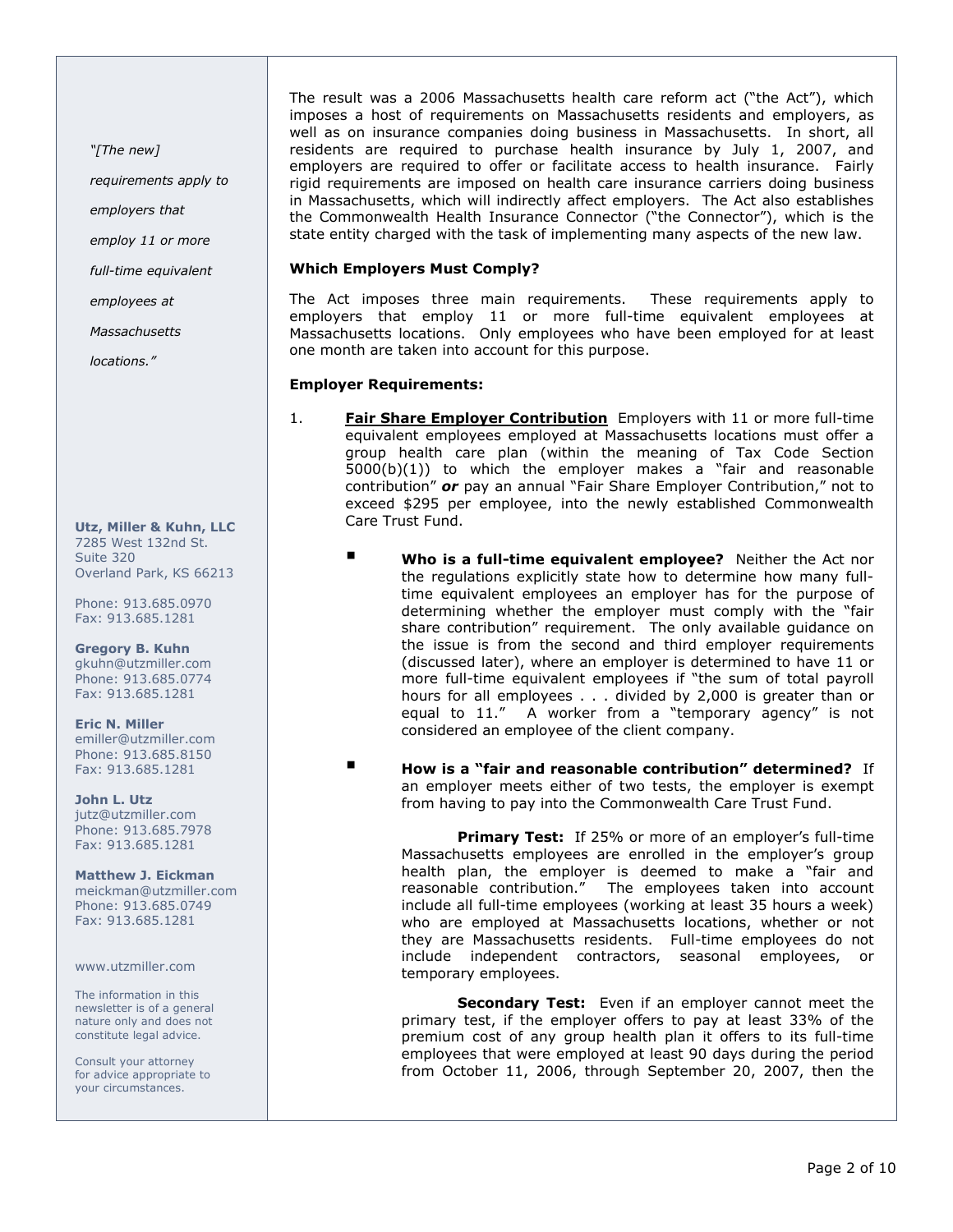"[The new]

requirements apply to

employers that

employ 11 or more

full-time equivalent

employees at

**Massachusetts** 

locations."

Utz, Miller & Kuhn, LLC 7285 West 132nd St. Suite 320 Overland Park, KS 66213

Phone: 913.685.0970 Fax: 913.685.1281

Gregory B. Kuhn gkuhn@utzmiller.com Phone: 913.685.0774 Fax: 913.685.1281

Eric N. Miller emiller@utzmiller.com Phone: 913.685.8150 Fax: 913.685.1281

John L. Utz jutz@utzmiller.com Phone: 913.685.7978 Fax: 913.685.1281

Matthew J. Eickman meickman@utzmiller.com Phone: 913.685.0749 Fax: 913.685.1281

www.utzmiller.com

The information in this newsletter is of a general nature only and does not constitute legal advice.

Consult your attorney for advice appropriate to your circumstances.

The result was a 2006 Massachusetts health care reform act ("the Act"), which imposes a host of requirements on Massachusetts residents and employers, as well as on insurance companies doing business in Massachusetts. In short, all residents are required to purchase health insurance by July 1, 2007, and employers are required to offer or facilitate access to health insurance. Fairly rigid requirements are imposed on health care insurance carriers doing business in Massachusetts, which will indirectly affect employers. The Act also establishes the Commonwealth Health Insurance Connector ("the Connector"), which is the state entity charged with the task of implementing many aspects of the new law.

#### Which Employers Must Comply?

The Act imposes three main requirements. These requirements apply to employers that employ 11 or more full-time equivalent employees at Massachusetts locations. Only employees who have been employed for at least one month are taken into account for this purpose.

#### Employer Requirements:

- 1. **Fair Share Employer Contribution** Employers with 11 or more full-time equivalent employees employed at Massachusetts locations must offer a group health care plan (within the meaning of Tax Code Section 5000(b)(1)) to which the employer makes a "fair and reasonable contribution" or pay an annual "Fair Share Employer Contribution," not to exceed \$295 per employee, into the newly established Commonwealth Care Trust Fund.
	- Who is a full-time equivalent employee? Neither the Act nor the regulations explicitly state how to determine how many fulltime equivalent employees an employer has for the purpose of determining whether the employer must comply with the "fair share contribution" requirement. The only available guidance on the issue is from the second and third employer requirements (discussed later), where an employer is determined to have 11 or more full-time equivalent employees if "the sum of total payroll hours for all employees . . . divided by 2,000 is greater than or equal to 11." A worker from a "temporary agency" is not considered an employee of the client company.
	- **How is a "fair and reasonable contribution" determined?** If an employer meets either of two tests, the employer is exempt from having to pay into the Commonwealth Care Trust Fund.

**Primary Test:** If 25% or more of an employer's full-time Massachusetts employees are enrolled in the employer's group health plan, the employer is deemed to make a "fair and reasonable contribution." The employees taken into account include all full-time employees (working at least 35 hours a week) who are employed at Massachusetts locations, whether or not they are Massachusetts residents. Full-time employees do not include independent contractors, seasonal employees, or temporary employees.

**Secondary Test:** Even if an employer cannot meet the primary test, if the employer offers to pay at least 33% of the premium cost of any group health plan it offers to its full-time employees that were employed at least 90 days during the period from October 11, 2006, through September 20, 2007, then the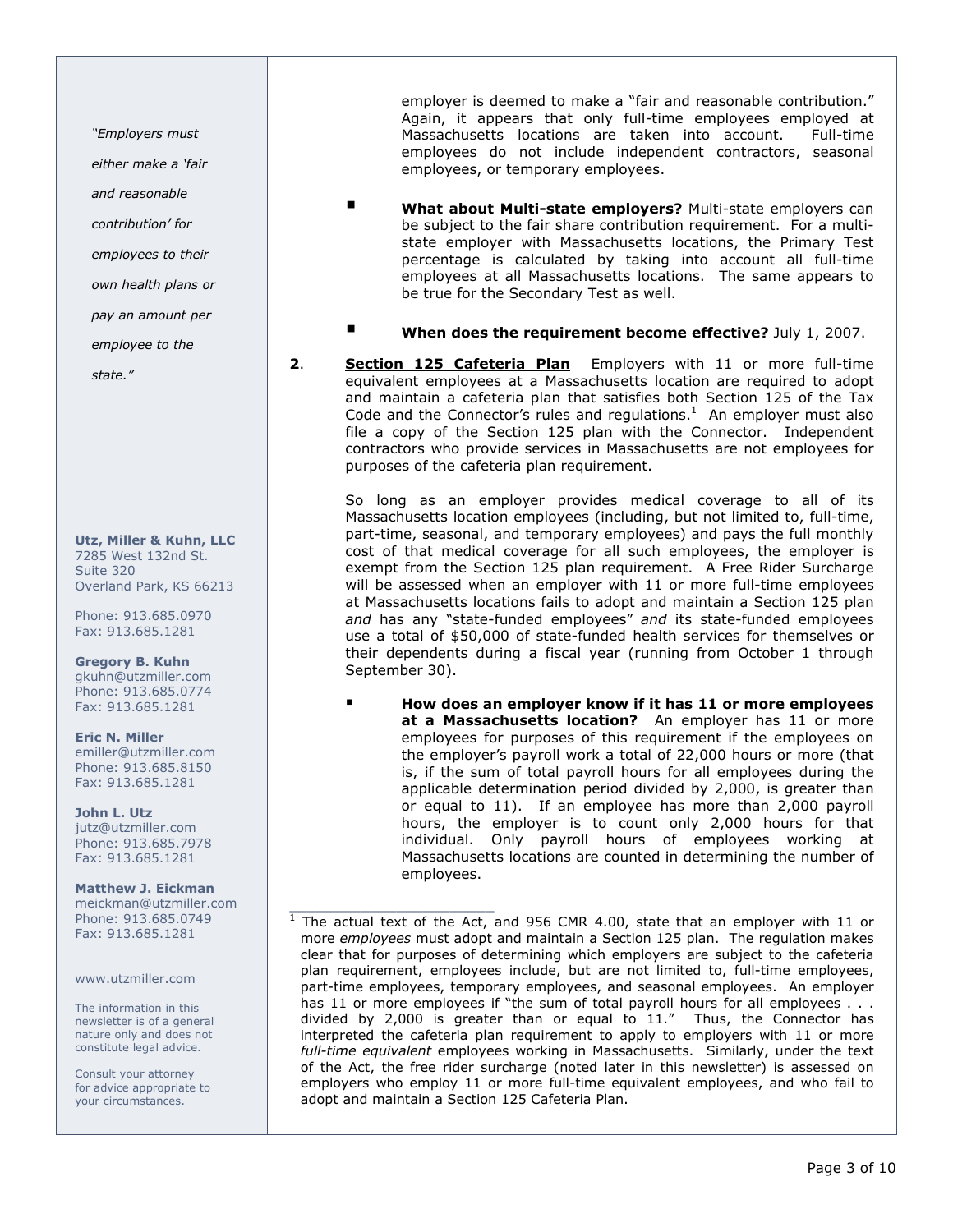"Employers must either make a 'fair and reasonable contribution' for employees to their own health plans or pay an amount per employee to the

state."

Utz, Miller & Kuhn, LLC 7285 West 132nd St. Suite 320 Overland Park, KS 66213

Phone: 913.685.0970 Fax: 913.685.1281

Gregory B. Kuhn gkuhn@utzmiller.com Phone: 913.685.0774 Fax: 913.685.1281

Eric N. Miller emiller@utzmiller.com Phone: 913.685.8150 Fax: 913.685.1281

John L. Utz jutz@utzmiller.com Phone: 913.685.7978 Fax: 913.685.1281

Matthew J. Eickman meickman@utzmiller.com Phone: 913.685.0749 Fax: 913.685.1281

www.utzmiller.com

The information in this newsletter is of a general nature only and does not constitute legal advice.

Consult your attorney for advice appropriate to your circumstances.

employer is deemed to make a "fair and reasonable contribution." Again, it appears that only full-time employees employed at Massachusetts locations are taken into account. Full-time employees do not include independent contractors, seasonal employees, or temporary employees.

- **U** What about Multi-state employers? Multi-state employers can be subject to the fair share contribution requirement. For a multistate employer with Massachusetts locations, the Primary Test percentage is calculated by taking into account all full-time employees at all Massachusetts locations. The same appears to be true for the Secondary Test as well.
- When does the requirement become effective? July 1, 2007.
- 2. Section 125 Cafeteria Plan Employers with 11 or more full-time equivalent employees at a Massachusetts location are required to adopt and maintain a cafeteria plan that satisfies both Section 125 of the Tax Code and the Connector's rules and regulations. $<sup>1</sup>$  An employer must also</sup> file a copy of the Section 125 plan with the Connector. Independent contractors who provide services in Massachusetts are not employees for purposes of the cafeteria plan requirement.

So long as an employer provides medical coverage to all of its Massachusetts location employees (including, but not limited to, full-time, part-time, seasonal, and temporary employees) and pays the full monthly cost of that medical coverage for all such employees, the employer is exempt from the Section 125 plan requirement. A Free Rider Surcharge will be assessed when an employer with 11 or more full-time employees at Massachusetts locations fails to adopt and maintain a Section 125 plan and has any "state-funded employees" and its state-funded employees use a total of \$50,000 of state-funded health services for themselves or their dependents during a fiscal year (running from October 1 through September 30).

 How does an employer know if it has 11 or more employees at a Massachusetts location? An employer has 11 or more employees for purposes of this requirement if the employees on the employer's payroll work a total of 22,000 hours or more (that is, if the sum of total payroll hours for all employees during the applicable determination period divided by 2,000, is greater than or equal to 11). If an employee has more than 2,000 payroll hours, the employer is to count only 2,000 hours for that individual. Only payroll hours of employees working at Massachusetts locations are counted in determining the number of employees.

The actual text of the Act, and 956 CMR 4.00, state that an employer with 11 or more employees must adopt and maintain a Section 125 plan. The regulation makes clear that for purposes of determining which employers are subject to the cafeteria plan requirement, employees include, but are not limited to, full-time employees, part-time employees, temporary employees, and seasonal employees. An employer has 11 or more employees if "the sum of total payroll hours for all employees . . . divided by 2,000 is greater than or equal to 11." Thus, the Connector has interpreted the cafeteria plan requirement to apply to employers with 11 or more full-time equivalent employees working in Massachusetts. Similarly, under the text of the Act, the free rider surcharge (noted later in this newsletter) is assessed on employers who employ 11 or more full-time equivalent employees, and who fail to adopt and maintain a Section 125 Cafeteria Plan.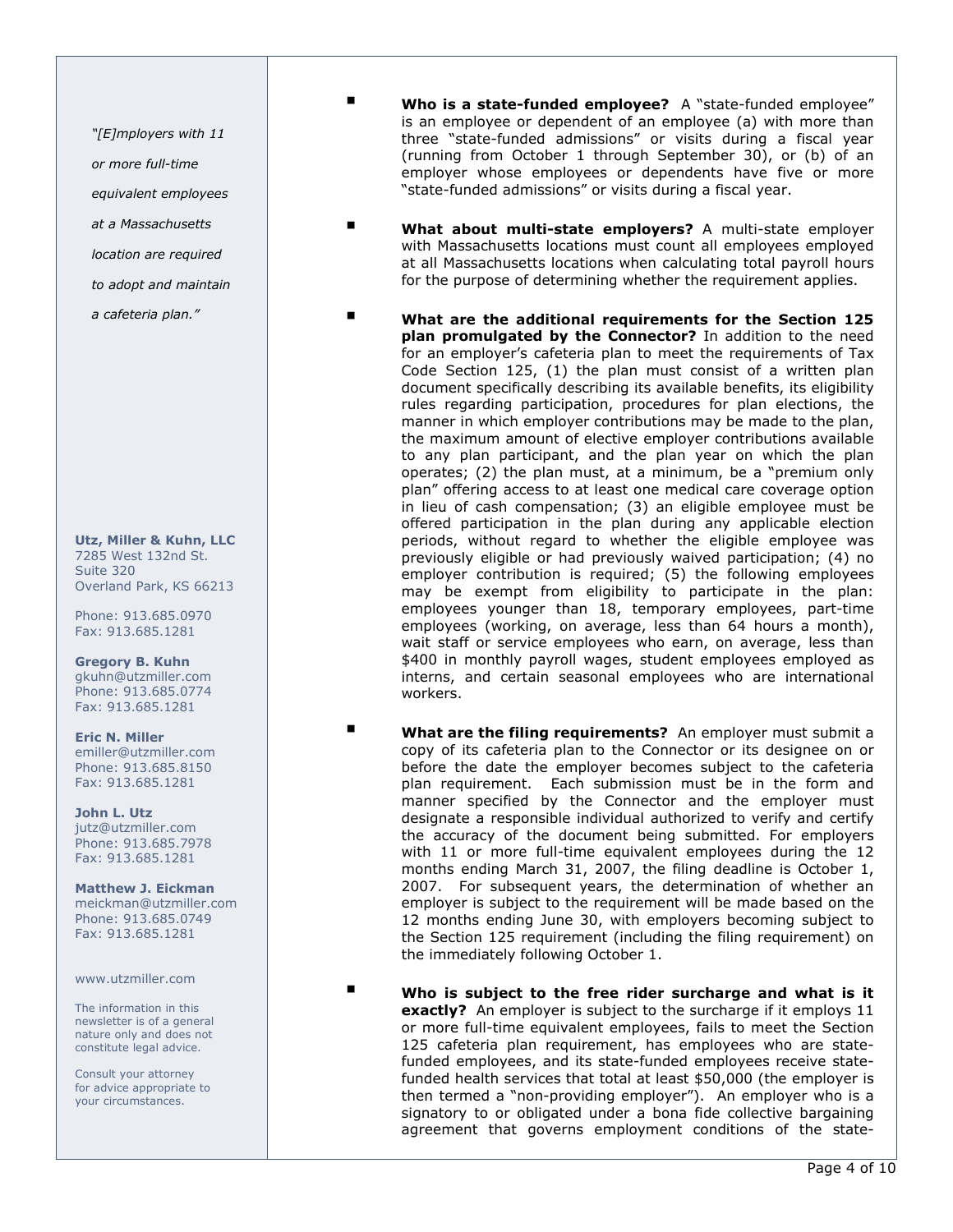"[E]mployers with 11

or more full-time

equivalent employees

at a Massachusetts

location are required

to adopt and maintain

a cafeteria plan."

Utz, Miller & Kuhn, LLC 7285 West 132nd St. Suite 320 Overland Park, KS 66213

Phone: 913.685.0970 Fax: 913.685.1281

Gregory B. Kuhn gkuhn@utzmiller.com Phone: 913.685.0774 Fax: 913.685.1281

Eric N. Miller emiller@utzmiller.com Phone: 913.685.8150 Fax: 913.685.1281

John L. Utz jutz@utzmiller.com Phone: 913.685.7978 Fax: 913.685.1281

Matthew J. Eickman meickman@utzmiller.com Phone: 913.685.0749 Fax: 913.685.1281

www.utzmiller.com

The information in this newsletter is of a general nature only and does not constitute legal advice.

Consult your attorney for advice appropriate to your circumstances.

- Who is a state-funded employee? A "state-funded employee" is an employee or dependent of an employee (a) with more than three "state-funded admissions" or visits during a fiscal year (running from October 1 through September 30), or (b) of an employer whose employees or dependents have five or more "state-funded admissions" or visits during a fiscal year.
- What about multi-state employers? A multi-state employer with Massachusetts locations must count all employees employed at all Massachusetts locations when calculating total payroll hours for the purpose of determining whether the requirement applies.
- What are the additional requirements for the Section 125 plan promulgated by the Connector? In addition to the need for an employer's cafeteria plan to meet the requirements of Tax Code Section 125, (1) the plan must consist of a written plan document specifically describing its available benefits, its eligibility rules regarding participation, procedures for plan elections, the manner in which employer contributions may be made to the plan, the maximum amount of elective employer contributions available to any plan participant, and the plan year on which the plan operates; (2) the plan must, at a minimum, be a "premium only plan" offering access to at least one medical care coverage option in lieu of cash compensation; (3) an eligible employee must be offered participation in the plan during any applicable election periods, without regard to whether the eligible employee was previously eligible or had previously waived participation; (4) no employer contribution is required; (5) the following employees may be exempt from eligibility to participate in the plan: employees younger than 18, temporary employees, part-time employees (working, on average, less than 64 hours a month), wait staff or service employees who earn, on average, less than \$400 in monthly payroll wages, student employees employed as interns, and certain seasonal employees who are international workers.
- **No What are the filing requirements?** An employer must submit a copy of its cafeteria plan to the Connector or its designee on or before the date the employer becomes subject to the cafeteria plan requirement. Each submission must be in the form and manner specified by the Connector and the employer must designate a responsible individual authorized to verify and certify the accuracy of the document being submitted. For employers with 11 or more full-time equivalent employees during the 12 months ending March 31, 2007, the filing deadline is October 1, 2007. For subsequent years, the determination of whether an employer is subject to the requirement will be made based on the 12 months ending June 30, with employers becoming subject to the Section 125 requirement (including the filing requirement) on the immediately following October 1.

**No is subject to the free rider surcharge and what is it** exactly? An employer is subject to the surcharge if it employs 11 or more full-time equivalent employees, fails to meet the Section 125 cafeteria plan requirement, has employees who are statefunded employees, and its state-funded employees receive statefunded health services that total at least \$50,000 (the employer is then termed a "non-providing employer"). An employer who is a signatory to or obligated under a bona fide collective bargaining agreement that governs employment conditions of the state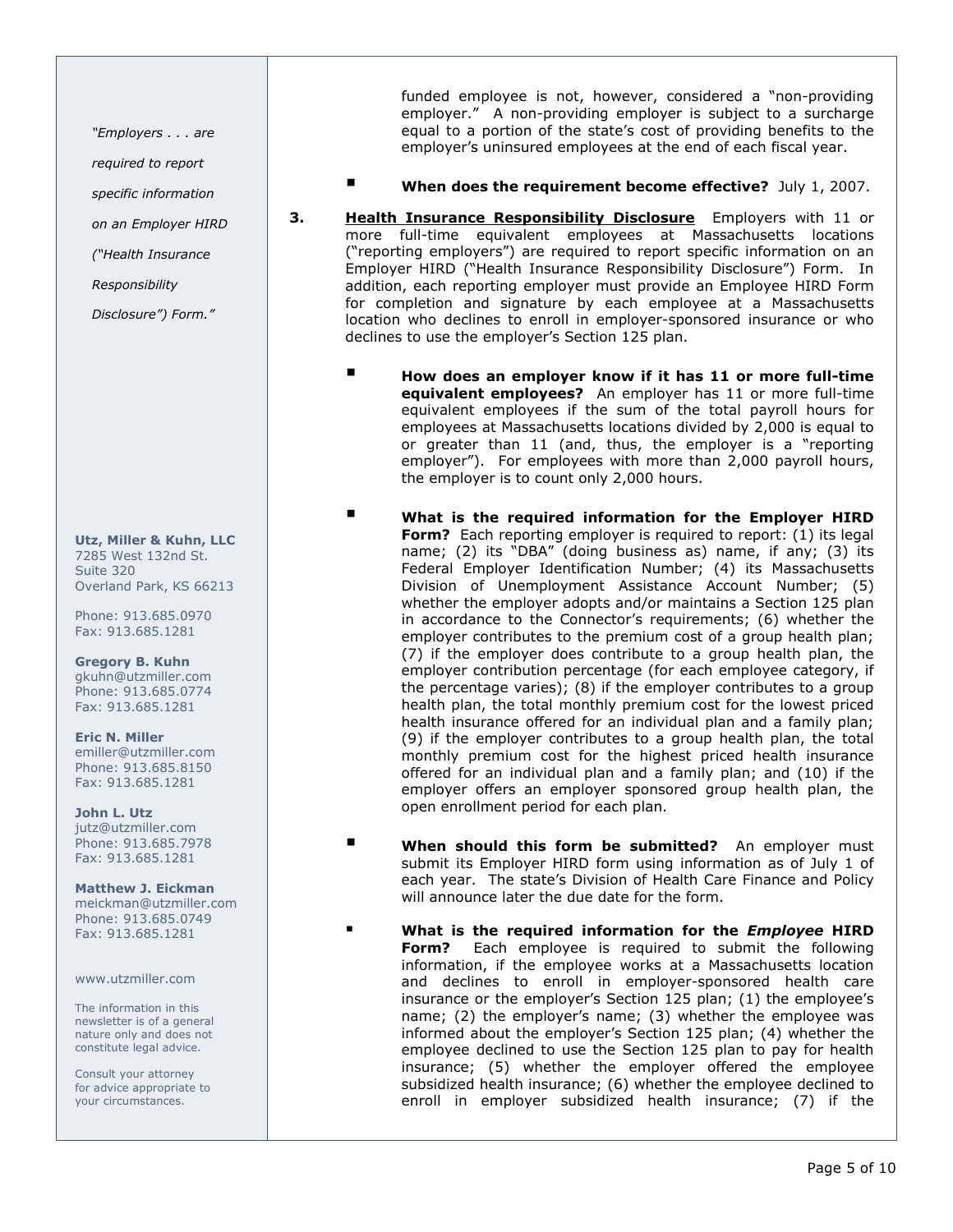"Employers . . . are

required to report

specific information

on an Employer HIRD

("Health Insurance

Responsibility

Disclosure") Form."

Utz, Miller & Kuhn, LLC 7285 West 132nd St. Suite 320 Overland Park, KS 66213

Phone: 913.685.0970 Fax: 913.685.1281

Gregory B. Kuhn gkuhn@utzmiller.com Phone: 913.685.0774 Fax: 913.685.1281

Eric N. Miller emiller@utzmiller.com Phone: 913.685.8150 Fax: 913.685.1281

John L. Utz jutz@utzmiller.com Phone: 913.685.7978 Fax: 913.685.1281

Matthew J. Eickman meickman@utzmiller.com Phone: 913.685.0749 Fax: 913.685.1281

www.utzmiller.com

The information in this newsletter is of a general nature only and does not constitute legal advice.

Consult your attorney for advice appropriate to your circumstances.

funded employee is not, however, considered a "non-providing employer." A non-providing employer is subject to a surcharge equal to a portion of the state's cost of providing benefits to the employer's uninsured employees at the end of each fiscal year.

- When does the requirement become effective? July 1, 2007.
- **3.** Health Insurance Responsibility Disclosure Employers with 11 or more full-time equivalent employees at Massachusetts locations ("reporting employers") are required to report specific information on an Employer HIRD ("Health Insurance Responsibility Disclosure") Form. In addition, each reporting employer must provide an Employee HIRD Form for completion and signature by each employee at a Massachusetts location who declines to enroll in employer-sponsored insurance or who declines to use the employer's Section 125 plan.
	- **How does an employer know if it has 11 or more full-time** equivalent employees? An employer has 11 or more full-time equivalent employees if the sum of the total payroll hours for employees at Massachusetts locations divided by 2,000 is equal to or greater than 11 (and, thus, the employer is a "reporting employer"). For employees with more than 2,000 payroll hours, the employer is to count only 2,000 hours.
		- What is the required information for the Employer HIRD Form? Each reporting employer is required to report: (1) its legal name; (2) its "DBA" (doing business as) name, if any; (3) its Federal Employer Identification Number; (4) its Massachusetts Division of Unemployment Assistance Account Number; (5) whether the employer adopts and/or maintains a Section 125 plan in accordance to the Connector's requirements; (6) whether the employer contributes to the premium cost of a group health plan; (7) if the employer does contribute to a group health plan, the employer contribution percentage (for each employee category, if the percentage varies); (8) if the employer contributes to a group health plan, the total monthly premium cost for the lowest priced health insurance offered for an individual plan and a family plan; (9) if the employer contributes to a group health plan, the total monthly premium cost for the highest priced health insurance offered for an individual plan and a family plan; and (10) if the employer offers an employer sponsored group health plan, the open enrollment period for each plan.
	- **Number 19 When should this form be submitted?** An employer must submit its Employer HIRD form using information as of July 1 of each year. The state's Division of Health Care Finance and Policy will announce later the due date for the form.
	- What is the required information for the *Employee* HIRD **Form?** Each employee is required to submit the following information, if the employee works at a Massachusetts location and declines to enroll in employer-sponsored health care insurance or the employer's Section 125 plan; (1) the employee's name; (2) the employer's name; (3) whether the employee was informed about the employer's Section 125 plan; (4) whether the employee declined to use the Section 125 plan to pay for health insurance; (5) whether the employer offered the employee subsidized health insurance; (6) whether the employee declined to enroll in employer subsidized health insurance; (7) if the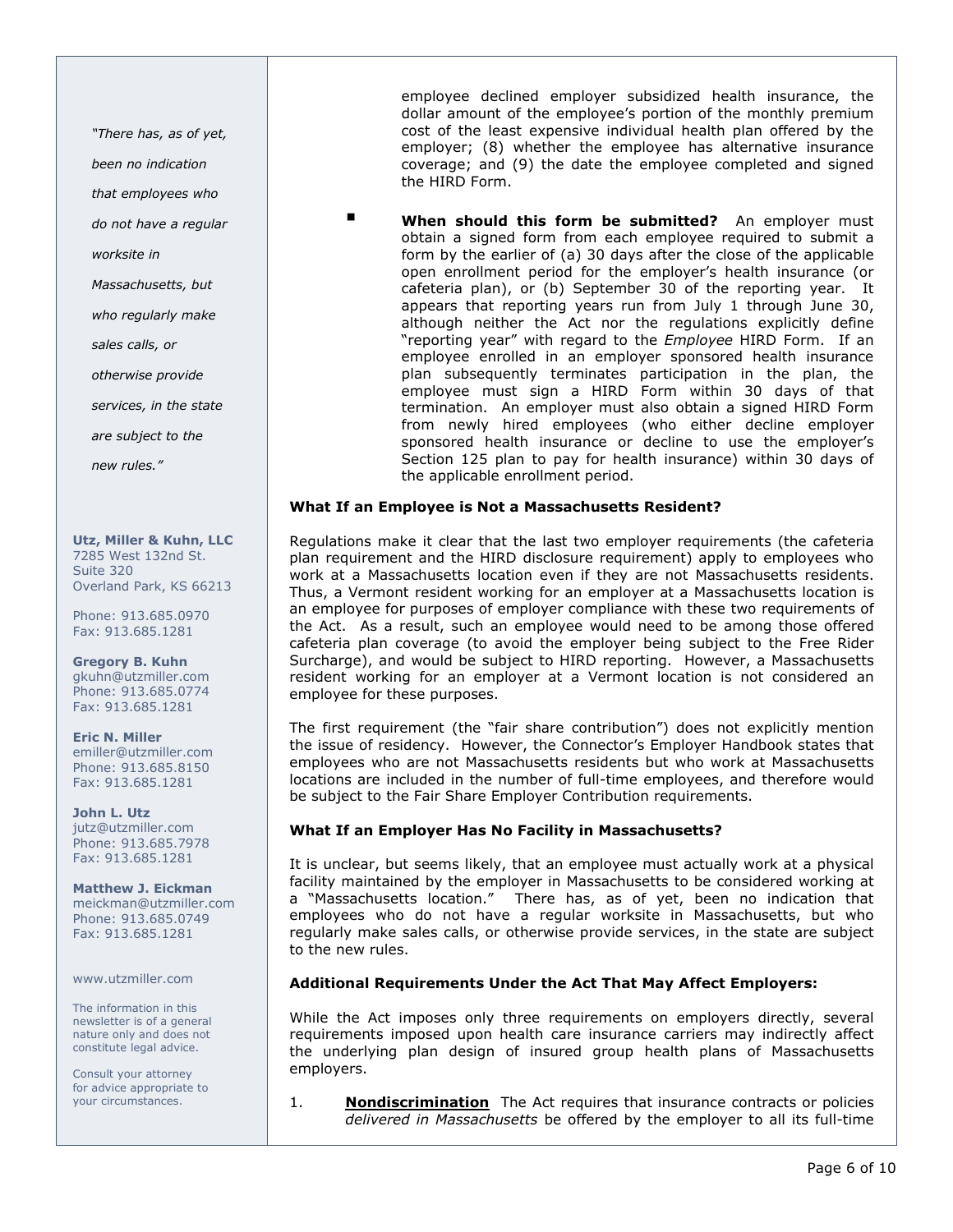"There has, as of yet,

been no indication

that employees who

do not have a regular

worksite in

Massachusetts, but

who regularly make

sales calls, or

otherwise provide

services, in the state

are subject to the

new rules."

Utz, Miller & Kuhn, LLC 7285 West 132nd St. Suite 320 Overland Park, KS 66213

Phone: 913.685.0970 Fax: 913.685.1281

Gregory B. Kuhn gkuhn@utzmiller.com Phone: 913.685.0774 Fax: 913.685.1281

Eric N. Miller emiller@utzmiller.com Phone: 913.685.8150 Fax: 913.685.1281

John L. Utz jutz@utzmiller.com Phone: 913.685.7978 Fax: 913.685.1281

Matthew J. Eickman meickman@utzmiller.com Phone: 913.685.0749 Fax: 913.685.1281

www.utzmiller.com

The information in this newsletter is of a general nature only and does not constitute legal advice.

Consult your attorney for advice appropriate to your circumstances.

employee declined employer subsidized health insurance, the dollar amount of the employee's portion of the monthly premium cost of the least expensive individual health plan offered by the employer; (8) whether the employee has alternative insurance coverage; and (9) the date the employee completed and signed the HIRD Form.

**U** When should this form be submitted? An employer must obtain a signed form from each employee required to submit a form by the earlier of (a) 30 days after the close of the applicable open enrollment period for the employer's health insurance (or cafeteria plan), or (b) September 30 of the reporting year. It appears that reporting years run from July 1 through June 30, although neither the Act nor the regulations explicitly define "reporting year" with regard to the *Employee* HIRD Form. If an employee enrolled in an employer sponsored health insurance plan subsequently terminates participation in the plan, the employee must sign a HIRD Form within 30 days of that termination. An employer must also obtain a signed HIRD Form from newly hired employees (who either decline employer sponsored health insurance or decline to use the employer's Section 125 plan to pay for health insurance) within 30 days of the applicable enrollment period.

#### What If an Employee is Not a Massachusetts Resident?

Regulations make it clear that the last two employer requirements (the cafeteria plan requirement and the HIRD disclosure requirement) apply to employees who work at a Massachusetts location even if they are not Massachusetts residents. Thus, a Vermont resident working for an employer at a Massachusetts location is an employee for purposes of employer compliance with these two requirements of the Act. As a result, such an employee would need to be among those offered cafeteria plan coverage (to avoid the employer being subject to the Free Rider Surcharge), and would be subject to HIRD reporting. However, a Massachusetts resident working for an employer at a Vermont location is not considered an employee for these purposes.

The first requirement (the "fair share contribution") does not explicitly mention the issue of residency. However, the Connector's Employer Handbook states that employees who are not Massachusetts residents but who work at Massachusetts locations are included in the number of full-time employees, and therefore would be subject to the Fair Share Employer Contribution requirements.

#### What If an Employer Has No Facility in Massachusetts?

It is unclear, but seems likely, that an employee must actually work at a physical facility maintained by the employer in Massachusetts to be considered working at a "Massachusetts location." There has, as of yet, been no indication that employees who do not have a regular worksite in Massachusetts, but who regularly make sales calls, or otherwise provide services, in the state are subject to the new rules.

### Additional Requirements Under the Act That May Affect Employers:

While the Act imposes only three requirements on employers directly, several requirements imposed upon health care insurance carriers may indirectly affect the underlying plan design of insured group health plans of Massachusetts employers.

1. **Nondiscrimination** The Act requires that insurance contracts or policies delivered in Massachusetts be offered by the employer to all its full-time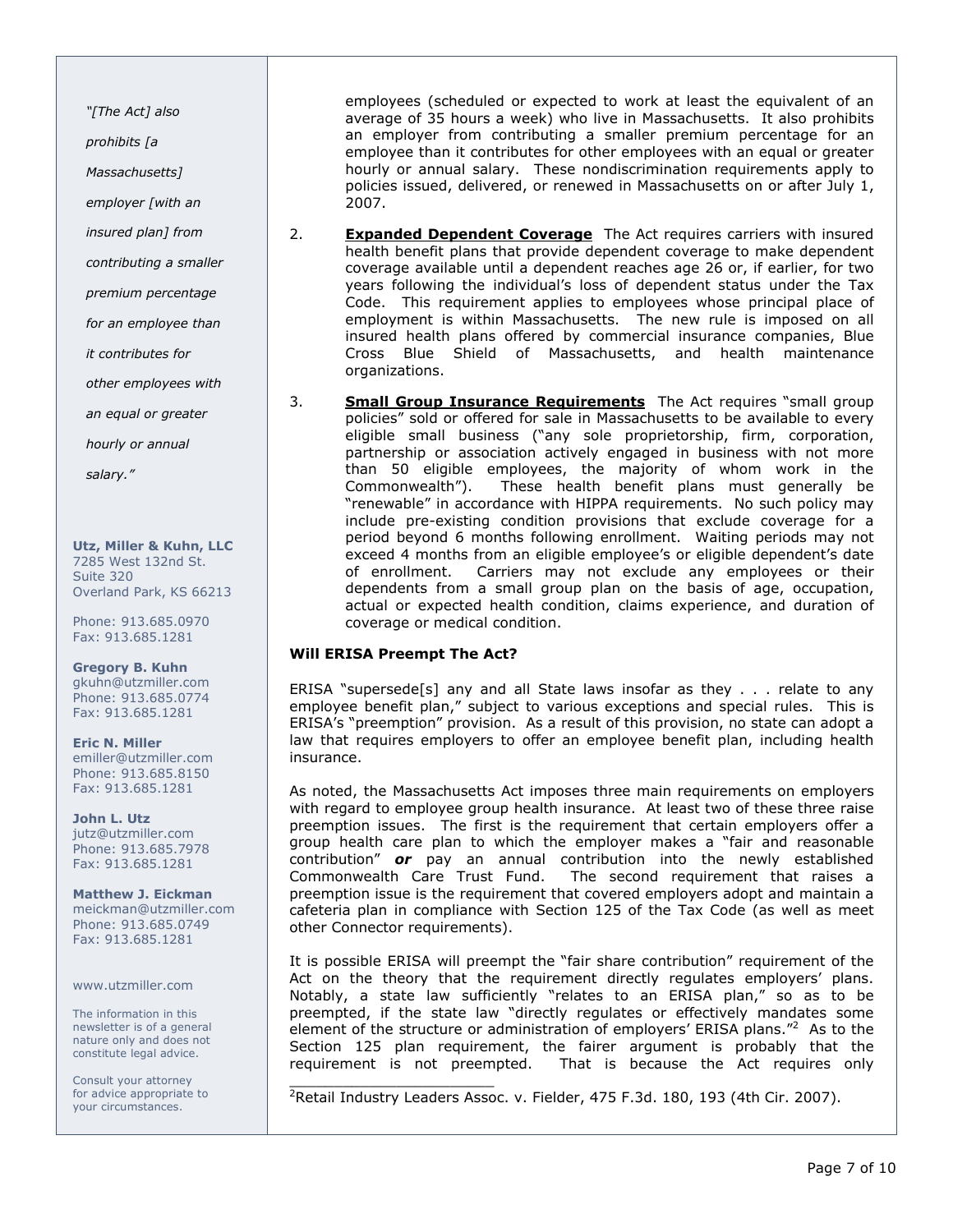"[The Act] also

prohibits [a

Massachusetts]

employer [with an

insured plan] from

contributing a smaller

premium percentage

for an employee than

it contributes for

other employees with

an equal or greater

hourly or annual

salary."

Utz, Miller & Kuhn, LLC 7285 West 132nd St. Suite 320 Overland Park, KS 66213

Phone: 913.685.0970 Fax: 913.685.1281

Gregory B. Kuhn gkuhn@utzmiller.com Phone: 913.685.0774 Fax: 913.685.1281

Eric N. Miller emiller@utzmiller.com Phone: 913.685.8150 Fax: 913.685.1281

John L. Utz jutz@utzmiller.com Phone: 913.685.7978 Fax: 913.685.1281

Matthew J. Eickman meickman@utzmiller.com Phone: 913.685.0749 Fax: 913.685.1281

www.utzmiller.com

The information in this newsletter is of a general nature only and does not constitute legal advice.

Consult your attorney for advice appropriate to your circumstances.

employees (scheduled or expected to work at least the equivalent of an average of 35 hours a week) who live in Massachusetts. It also prohibits an employer from contributing a smaller premium percentage for an employee than it contributes for other employees with an equal or greater hourly or annual salary. These nondiscrimination requirements apply to policies issued, delivered, or renewed in Massachusetts on or after July 1, 2007.

- 2. **Expanded Dependent Coverage** The Act requires carriers with insured health benefit plans that provide dependent coverage to make dependent coverage available until a dependent reaches age 26 or, if earlier, for two years following the individual's loss of dependent status under the Tax Code. This requirement applies to employees whose principal place of employment is within Massachusetts. The new rule is imposed on all insured health plans offered by commercial insurance companies, Blue Cross Blue Shield of Massachusetts, and health maintenance organizations.
- 3. **Small Group Insurance Requirements** The Act requires "small group policies" sold or offered for sale in Massachusetts to be available to every eligible small business ("any sole proprietorship, firm, corporation, partnership or association actively engaged in business with not more than 50 eligible employees, the majority of whom work in the<br>Commonwealth"). These health benefit plans must generally be These health benefit plans must generally be "renewable" in accordance with HIPPA requirements. No such policy may include pre-existing condition provisions that exclude coverage for a period beyond 6 months following enrollment. Waiting periods may not exceed 4 months from an eligible employee's or eligible dependent's date of enrollment. Carriers may not exclude any employees or their dependents from a small group plan on the basis of age, occupation, actual or expected health condition, claims experience, and duration of coverage or medical condition.

#### Will ERISA Preempt The Act?

ERISA "supersede[s] any and all State laws insofar as they . . . relate to any employee benefit plan," subject to various exceptions and special rules. This is ERISA's "preemption" provision. As a result of this provision, no state can adopt a law that requires employers to offer an employee benefit plan, including health insurance.

As noted, the Massachusetts Act imposes three main requirements on employers with regard to employee group health insurance. At least two of these three raise preemption issues. The first is the requirement that certain employers offer a group health care plan to which the employer makes a "fair and reasonable contribution" **or** pay an annual contribution into the newly established Commonwealth Care Trust Fund. The second requirement that raises a preemption issue is the requirement that covered employers adopt and maintain a cafeteria plan in compliance with Section 125 of the Tax Code (as well as meet other Connector requirements).

It is possible ERISA will preempt the "fair share contribution" requirement of the Act on the theory that the requirement directly regulates employers' plans. Notably, a state law sufficiently "relates to an ERISA plan," so as to be preempted, if the state law "directly regulates or effectively mandates some element of the structure or administration of employers' ERISA plans."<sup>2</sup> As to the Section 125 plan requirement, the fairer argument is probably that the requirement is not preempted. That is because the Act requires only

\_\_\_\_\_\_\_\_\_\_\_\_\_\_\_\_\_\_\_\_\_\_\_ <sup>2</sup>Retail Industry Leaders Assoc. v. Fielder, 475 F.3d. 180, 193 (4th Cir. 2007).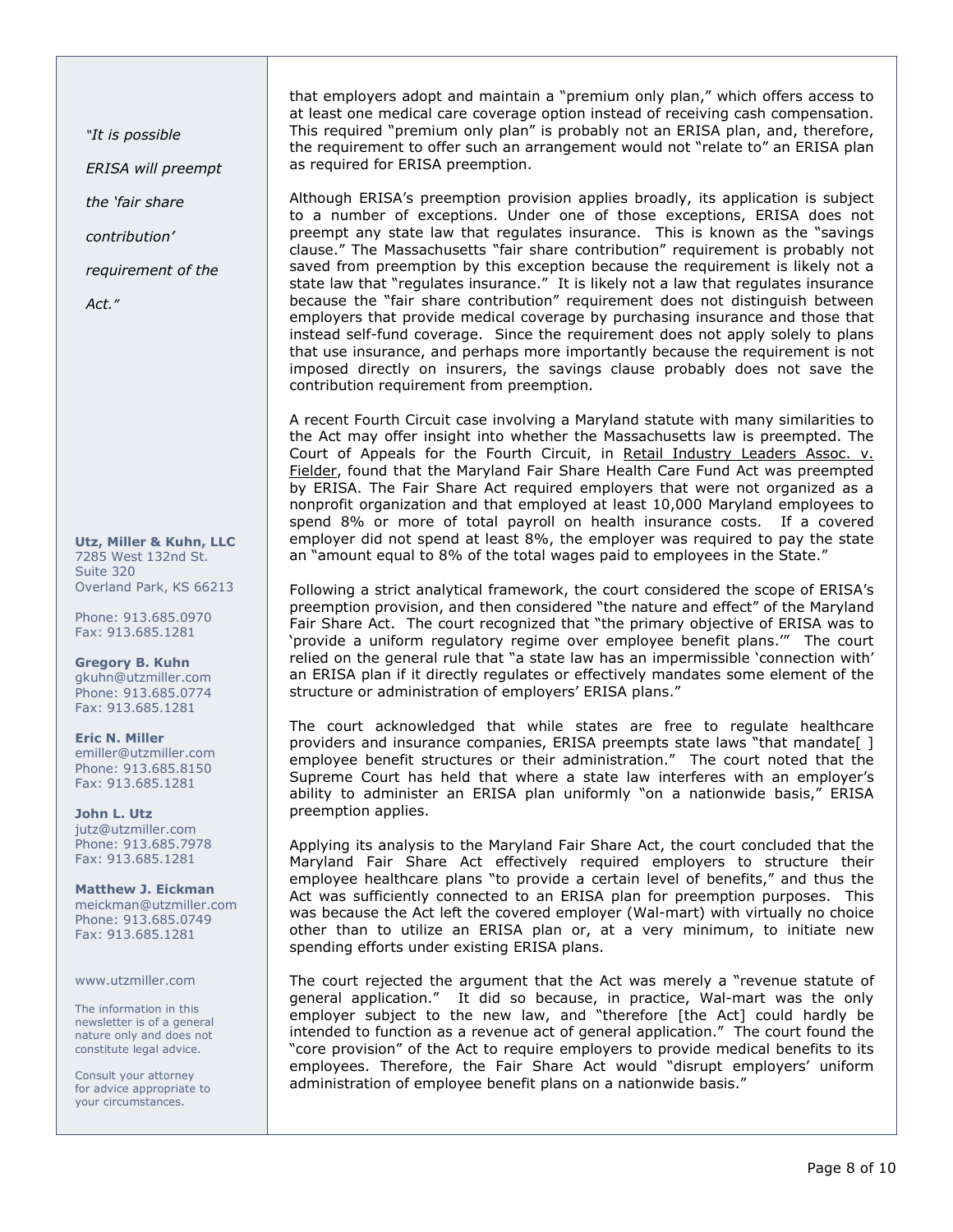"It is possible

ERISA will preempt

the 'fair share

contribution'

requirement of the

Act."

Utz, Miller & Kuhn, LLC 7285 West 132nd St. Suite 320 Overland Park, KS 66213

Phone: 913.685.0970 Fax: 913.685.1281

Gregory B. Kuhn gkuhn@utzmiller.com Phone: 913.685.0774 Fax: 913.685.1281

Eric N. Miller emiller@utzmiller.com Phone: 913.685.8150 Fax: 913.685.1281

John L. Utz jutz@utzmiller.com Phone: 913.685.7978 Fax: 913.685.1281

Matthew J. Eickman meickman@utzmiller.com Phone: 913.685.0749 Fax: 913.685.1281

www.utzmiller.com

The information in this newsletter is of a general nature only and does not constitute legal advice.

Consult your attorney for advice appropriate to your circumstances.

that employers adopt and maintain a "premium only plan," which offers access to at least one medical care coverage option instead of receiving cash compensation. This required "premium only plan" is probably not an ERISA plan, and, therefore, the requirement to offer such an arrangement would not "relate to" an ERISA plan as required for ERISA preemption.

Although ERISA's preemption provision applies broadly, its application is subject to a number of exceptions. Under one of those exceptions, ERISA does not preempt any state law that regulates insurance. This is known as the "savings clause." The Massachusetts "fair share contribution" requirement is probably not saved from preemption by this exception because the requirement is likely not a state law that "regulates insurance." It is likely not a law that regulates insurance because the "fair share contribution" requirement does not distinguish between employers that provide medical coverage by purchasing insurance and those that instead self-fund coverage. Since the requirement does not apply solely to plans that use insurance, and perhaps more importantly because the requirement is not imposed directly on insurers, the savings clause probably does not save the contribution requirement from preemption.

A recent Fourth Circuit case involving a Maryland statute with many similarities to the Act may offer insight into whether the Massachusetts law is preempted. The Court of Appeals for the Fourth Circuit, in Retail Industry Leaders Assoc. v. Fielder, found that the Maryland Fair Share Health Care Fund Act was preempted by ERISA. The Fair Share Act required employers that were not organized as a nonprofit organization and that employed at least 10,000 Maryland employees to spend 8% or more of total payroll on health insurance costs. If a covered employer did not spend at least 8%, the employer was required to pay the state an "amount equal to 8% of the total wages paid to employees in the State."

Following a strict analytical framework, the court considered the scope of ERISA's preemption provision, and then considered "the nature and effect" of the Maryland Fair Share Act. The court recognized that "the primary objective of ERISA was to 'provide a uniform regulatory regime over employee benefit plans.'" The court relied on the general rule that "a state law has an impermissible 'connection with' an ERISA plan if it directly regulates or effectively mandates some element of the structure or administration of employers' ERISA plans."

The court acknowledged that while states are free to regulate healthcare providers and insurance companies, ERISA preempts state laws "that mandate[ ] employee benefit structures or their administration." The court noted that the Supreme Court has held that where a state law interferes with an employer's ability to administer an ERISA plan uniformly "on a nationwide basis," ERISA preemption applies.

Applying its analysis to the Maryland Fair Share Act, the court concluded that the Maryland Fair Share Act effectively required employers to structure their employee healthcare plans "to provide a certain level of benefits," and thus the Act was sufficiently connected to an ERISA plan for preemption purposes. This was because the Act left the covered employer (Wal-mart) with virtually no choice other than to utilize an ERISA plan or, at a very minimum, to initiate new spending efforts under existing ERISA plans.

The court rejected the argument that the Act was merely a "revenue statute of general application." It did so because, in practice, Wal-mart was the only employer subject to the new law, and "therefore [the Act] could hardly be intended to function as a revenue act of general application." The court found the "core provision" of the Act to require employers to provide medical benefits to its employees. Therefore, the Fair Share Act would "disrupt employers' uniform administration of employee benefit plans on a nationwide basis."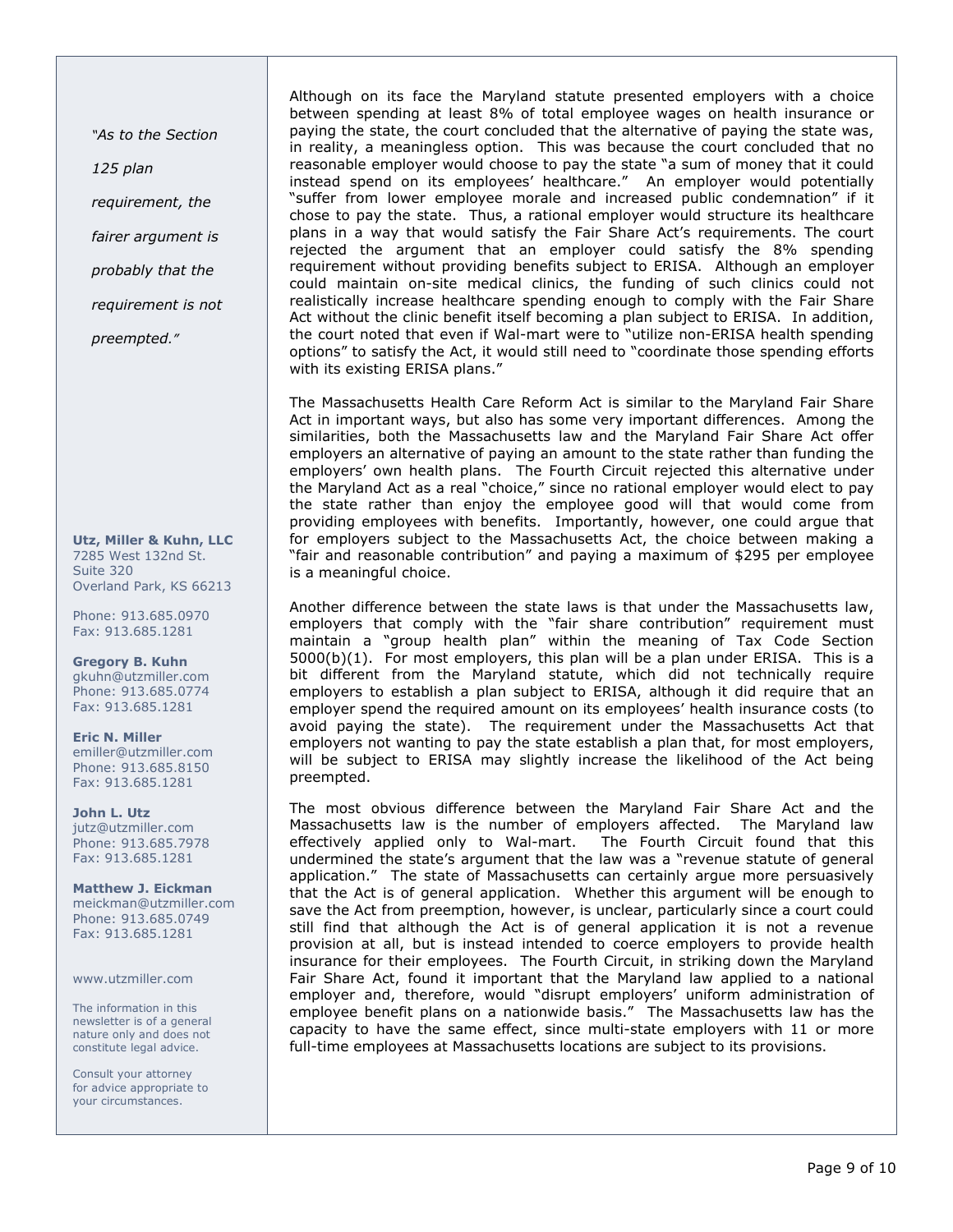"As to the Section

125 plan

requirement, the

fairer argument is

probably that the

requirement is not

preempted."

Utz, Miller & Kuhn, LLC 7285 West 132nd St. Suite 320 Overland Park, KS 66213

Phone: 913.685.0970 Fax: 913.685.1281

Gregory B. Kuhn gkuhn@utzmiller.com Phone: 913.685.0774 Fax: 913.685.1281

Eric N. Miller emiller@utzmiller.com Phone: 913.685.8150 Fax: 913.685.1281

John L. Utz jutz@utzmiller.com Phone: 913.685.7978 Fax: 913.685.1281

Matthew J. Eickman meickman@utzmiller.com Phone: 913.685.0749 Fax: 913.685.1281

www.utzmiller.com

The information in this newsletter is of a general nature only and does not constitute legal advice.

Consult your attorney for advice appropriate to your circumstances.

Although on its face the Maryland statute presented employers with a choice between spending at least 8% of total employee wages on health insurance or paying the state, the court concluded that the alternative of paying the state was, in reality, a meaningless option. This was because the court concluded that no reasonable employer would choose to pay the state "a sum of money that it could instead spend on its employees' healthcare." An employer would potentially "suffer from lower employee morale and increased public condemnation" if it chose to pay the state. Thus, a rational employer would structure its healthcare plans in a way that would satisfy the Fair Share Act's requirements. The court rejected the argument that an employer could satisfy the 8% spending requirement without providing benefits subject to ERISA. Although an employer could maintain on-site medical clinics, the funding of such clinics could not realistically increase healthcare spending enough to comply with the Fair Share Act without the clinic benefit itself becoming a plan subject to ERISA. In addition, the court noted that even if Wal-mart were to "utilize non-ERISA health spending options" to satisfy the Act, it would still need to "coordinate those spending efforts with its existing ERISA plans."

The Massachusetts Health Care Reform Act is similar to the Maryland Fair Share Act in important ways, but also has some very important differences. Among the similarities, both the Massachusetts law and the Maryland Fair Share Act offer employers an alternative of paying an amount to the state rather than funding the employers' own health plans. The Fourth Circuit rejected this alternative under the Maryland Act as a real "choice," since no rational employer would elect to pay the state rather than enjoy the employee good will that would come from providing employees with benefits. Importantly, however, one could argue that for employers subject to the Massachusetts Act, the choice between making a "fair and reasonable contribution" and paying a maximum of \$295 per employee is a meaningful choice.

Another difference between the state laws is that under the Massachusetts law, employers that comply with the "fair share contribution" requirement must maintain a "group health plan" within the meaning of Tax Code Section 5000(b)(1). For most employers, this plan will be a plan under ERISA. This is a bit different from the Maryland statute, which did not technically require employers to establish a plan subject to ERISA, although it did require that an employer spend the required amount on its employees' health insurance costs (to avoid paying the state). The requirement under the Massachusetts Act that employers not wanting to pay the state establish a plan that, for most employers, will be subject to ERISA may slightly increase the likelihood of the Act being preempted.

The most obvious difference between the Maryland Fair Share Act and the Massachusetts law is the number of employers affected. The Maryland law effectively applied only to Wal-mart. The Fourth Circuit found that this undermined the state's argument that the law was a "revenue statute of general application." The state of Massachusetts can certainly argue more persuasively that the Act is of general application. Whether this argument will be enough to save the Act from preemption, however, is unclear, particularly since a court could still find that although the Act is of general application it is not a revenue provision at all, but is instead intended to coerce employers to provide health insurance for their employees. The Fourth Circuit, in striking down the Maryland Fair Share Act, found it important that the Maryland law applied to a national employer and, therefore, would "disrupt employers' uniform administration of employee benefit plans on a nationwide basis." The Massachusetts law has the capacity to have the same effect, since multi-state employers with 11 or more full-time employees at Massachusetts locations are subject to its provisions.